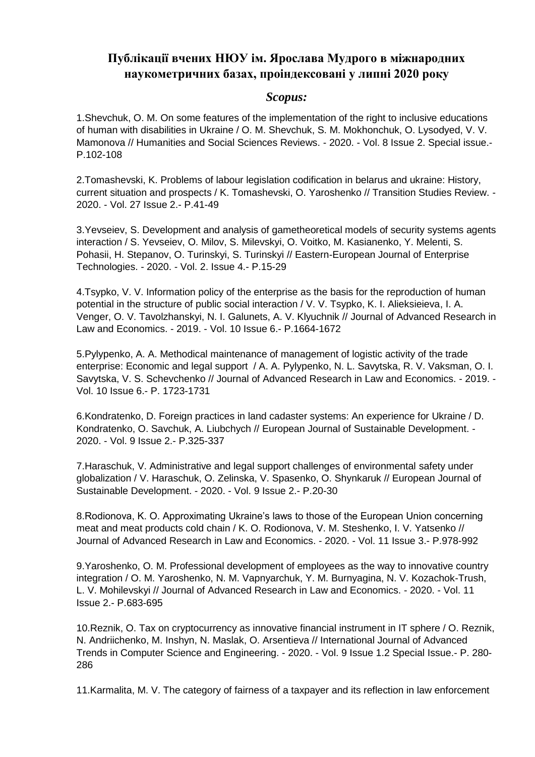# **Публікації вчених НЮУ ім. Ярослава Мудрого в міжнародних наукометричних базах, проіндексовані у липні 2020 року**

#### *Scopus:*

1.Shevchuk, O. M. On some features of the implementation of the right to inclusive educations of human with disabilities in Ukraine / O. M. Shevchuk, S. M. Mokhonchuk, O. Lysodyed, V. V. Mamonova // Humanities and Social Sciences Reviews. - 2020. - Vol. 8 Issue 2. Special issue.-P.102-108

2.Tomashevski, K. Problems of labour legislation codification in belarus and ukraine: History, current situation and prospects / K. Tomashevski, O. Yaroshenko // Transition Studies Review. - 2020. - Vol. 27 Issue 2.- P.41-49

3.Yevseiev, S. Development and analysis of gametheoretical models of security systems agents interaction / S. Yevseiev, O. Milov, S. Milevskyi, O. Voitko, M. Kasianenko, Y. Melenti, S. Pohasii, H. Stepanov, O. Turinskyi, S. Turinskyi // Eastern-European Journal of Enterprise Technologies. - 2020. - Vol. 2. Issue 4.- P.15-29

4.Tsypko, V. V. Information policy of the enterprise as the basis for the reproduction of human potential in the structure of public social interaction / V. V. Tsypko, K. I. Alieksieieva, I. A. Venger, O. V. Tavolzhanskyi, N. I. Galunets, A. V. Klyuchnik // Journal of Advanced Research in Law and Economics. - 2019. - Vol. 10 Issue 6.- P.1664-1672

5.Pylypenko, A. A. Methodical maintenance of management of logistic activity of the trade enterprise: Economic and legal support / A. A. Pylypenko, N. L. Savytska, R. V. Vaksman, O. I. Savytska, V. S. Schevchenko // Journal of Advanced Research in Law and Economics. - 2019. - Vol. 10 Issue 6.- P. 1723-1731

6.Kondratenko, D. Foreign practices in land cadaster systems: An experience for Ukraine / D. Kondratenko, O. Savchuk, A. Liubchych // European Journal of Sustainable Development. - 2020. - Vol. 9 Issue 2.- P.325-337

7.Haraschuk, V. Administrative and legal support challenges of environmental safety under globalization / V. Haraschuk, O. Zelinska, V. Spasenko, O. Shynkaruk // European Journal of Sustainable Development. - 2020. - Vol. 9 Issue 2.- P.20-30

8.Rodionova, K. O. Approximating Ukraine's laws to those of the European Union concerning meat and meat products cold chain / K. O. Rodionova, V. M. Steshenko, I. V. Yatsenko // Journal of Advanced Research in Law and Economics. - 2020. - Vol. 11 Issue 3.- P.978-992

9.Yaroshenko, O. M. Professional development of employees as the way to innovative country integration / O. M. Yaroshenko, N. M. Vapnyarchuk, Y. M. Burnyagina, N. V. Kozachok-Trush, L. V. Mohilevskyi // Journal of Advanced Research in Law and Economics. - 2020. - Vol. 11 Issue 2.- P.683-695

10.Reznik, O. Tax on cryptocurrency as innovative financial instrument in IT sphere / O. Reznik, N. Andriichenko, M. Inshyn, N. Maslak, O. Arsentieva // International Journal of Advanced Trends in Computer Science and Engineering. - 2020. - Vol. 9 Issue 1.2 Special Issue.- P. 280- 286

11.Karmalita, M. V. The category of fairness of a taxpayer and its reflection in law enforcement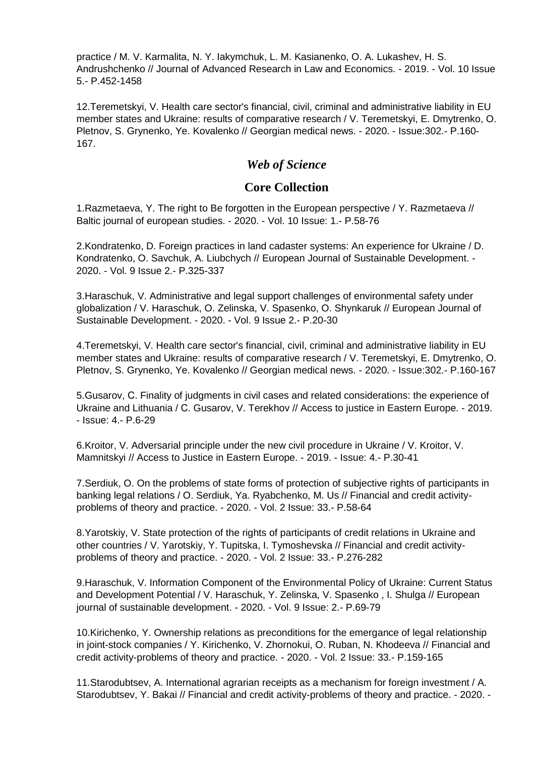practice / M. V. Karmalita, N. Y. Iakymchuk, L. M. Kasianenko, O. A. Lukashev, H. S. Andrushchenko // Journal of Advanced Research in Law and Economics. - 2019. - Vol. 10 Issue 5.- P.452-1458

12.Teremetskyi, V. Health care sector's financial, civil, criminal and administrative liability in EU member states and Ukraine: results of comparative research / V. Teremetskyi, E. Dmytrenko, O. Pletnov, S. Grynenko, Ye. Kovalenko // Georgian medical news. - 2020. - Issue:302.- P.160- 167.

### *Web of Science*

#### **Core Collection**

1.Razmetaeva, Y. The right to Be forgotten in the European perspective / Y. Razmetaeva // Baltic journal of european studies. - 2020. - Vol. 10 Issue: 1.- P.58-76

2.Kondratenko, D. Foreign practices in land cadaster systems: An experience for Ukraine / D. Kondratenko, O. Savchuk, A. Liubchych // European Journal of Sustainable Development. - 2020. - Vol. 9 Issue 2.- P.325-337

3.Haraschuk, V. Administrative and legal support challenges of environmental safety under globalization / V. Haraschuk, O. Zelinska, V. Spasenko, O. Shynkaruk // European Journal of Sustainable Development. - 2020. - Vol. 9 Issue 2.- P.20-30

4.Teremetskyi, V. Health care sector's financial, civil, criminal and administrative liability in EU member states and Ukraine: results of comparative research / V. Teremetskyi, E. Dmytrenko, O. Pletnov, S. Grynenko, Ye. Kovalenko // Georgian medical news. - 2020. - Issue:302.- P.160-167

5.Gusarov, С. Finality of judgments in civil cases and related considerations: the experience of Ukraine and Lithuania / С. Gusarov, V. Terekhov // Access to justice in Eastern Europe. - 2019.  $-$  Issue:  $4 - P_06 - 29$ 

6.Kroitor, V. Adversarial principle under the new civil procedure in Ukraine / V. Kroitor, V. Mamnitskyi // Access to Justice in Eastern Europe. - 2019. - Issue: 4.- P.30-41

7.Serdiuk, O. On the problems of state forms of protection of subjective rights of participants in banking legal relations / O. Serdiuk, Ya. Ryabchenko, M. Us // Financial and credit activityproblems of theory and practice. - 2020. - Vol. 2 Issue: 33.- P.58-64

8.Yarotskiy, V. State protection of the rights of participants of credit relations in Ukraine and other countries / V. Yarotskiy, Y. Tupitska, I. Tymoshevska // Financial and credit activityproblems of theory and practice. - 2020. - Vol. 2 Issue: 33.- P.276-282

9.Haraschuk, V. Information Component of the Environmental Policy of Ukraine: Current Status and Development Potential / V. Haraschuk, Y. Zelinska, V. Spasenko , I. Shulga // European journal of sustainable development. - 2020. - Vol. 9 Issue: 2.- P.69-79

10.Kirichenko, Y. Ownership relations as preconditions for the emergance of legal relationship in joint-stock companies / Y. Kirichenko, V. Zhornokui, O. Ruban, N. Khodeeva // Financial and credit activity-problems of theory and practice. - 2020. - Vol. 2 Issue: 33.- P.159-165

11.Starodubtsev, A. International agrarian receipts as a mechanism for foreign investment / A. Starodubtsev, Y. Bakai // Financial and credit activity-problems of theory and practice. - 2020. -